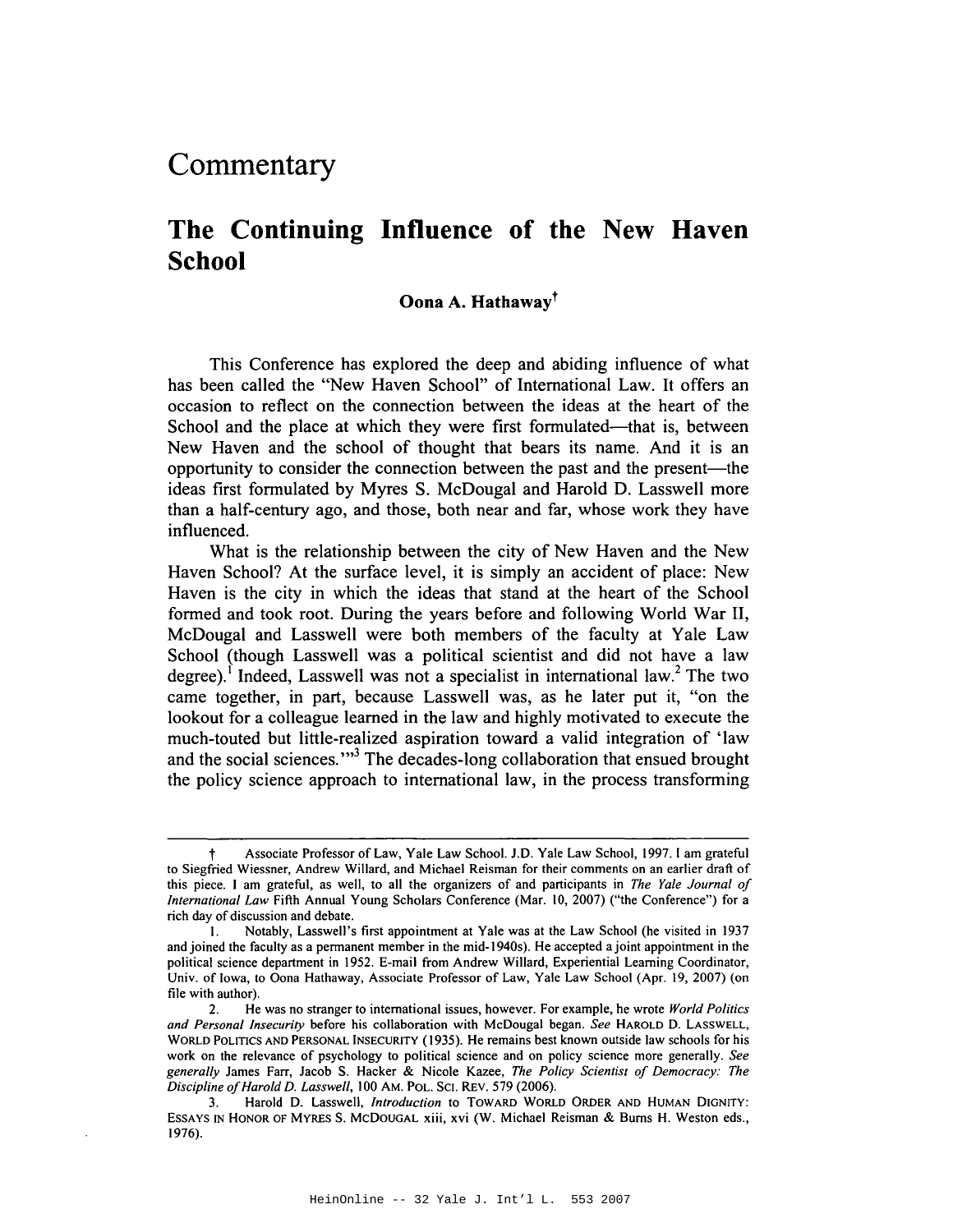# **Commentary**

## **The Continuing Influence of the New Haven School**

### **Oooa A. Hathawayt**

This Conference has explored the deep and abiding influence of what has been called the "New Haven School" of International Law. It offers an occasion to reflect on the connection between the ideas at the heart of the School and the place at which they were first formulated—that is, between New Haven and the school of thought that bears its name. And it is an opportunity to consider the connection between the past and the present—the ideas first formulated by Myres S. McDougal and Harold D. Lasswell more than a half-century ago, and those, both near and far, whose work they have influenced.

What is the relationship between the city of New Haven and the New Haven School? At the surface level, it is simply an accident of place: New Haven is the city in which the ideas that stand at the heart of the School formed and took root. During the years before and following World War II, McDougal and Lasswell were both members of the faculty at Yale Law School (though Lasswell was a political scientist and did not have a law degree).<sup>1</sup> Indeed, Lasswell was not a specialist in international law.<sup>2</sup> The two came together, in part, because Lasswell was, as he later put it, "on the lookout for a colleague learned in the law and highly motivated to execute the much-touted but little-realized aspiration toward a valid integration of 'law and the social sciences."<sup>3</sup> The decades-long collaboration that ensued brought the policy science approach to international law, in the process transforming

Associate Professor of Law, Yale Law School. J.D. Yale Law School, 1997. I am grateful to Siegfried Wiessner, Andrew Willard, and Michael Reisman for their comments on an earlier draft of this piece. I am grateful, as well, to all the organizers of and participants in *The Yale Journal of International Law* Fifth Annual Young Scholars Conference (Mar. 10,2007) ("the Conference") for a rich day of discussion and debate.

<sup>\.</sup> Notably, Lasswell's first appointment at Yale was at the Law School (he visited in 1937 and joined the faculty as a permanent member in the mid-1940s). He accepted ajoint appointment in the political science department in 1952. E-mail from Andrew Willard, Experiential Learning Coordinator, Univ. of Iowa, to Oona Hathaway, Associate Professor of Law, Yale Law School (Apr. 19,2007) (on file with author).

<sup>2.</sup> He was no stranger to international issues, however. For example, he wrote *World Politics and Personal Insecurity* before his collaboration with McDougal began. *See* HAROLD D. LASSWELL, WORLD POLITICS AND PERSONAL INSECURITY (1935). He remains best known outside law schools for his work on the relevance of psychology to political science and on policy science more generally. *See generally* James Farr, Jacob S. Hacker & Nicole Kazee, *The Policy Scientist of Democracy: The Discipline ofHarold D. Lasswell,* 100 AM. POL. SCI. REv. 579 (2006).

<sup>3.</sup> Harold D. Lasswell, *Introduction* to TOWARD WORLD ORDER AND HUMAN DIGNITY: ESSAYS IN HONOR OF MYRES S. McDOUGAL xiii, xvi (W. Michael Reisman & Bums H. Weston eds., 1976).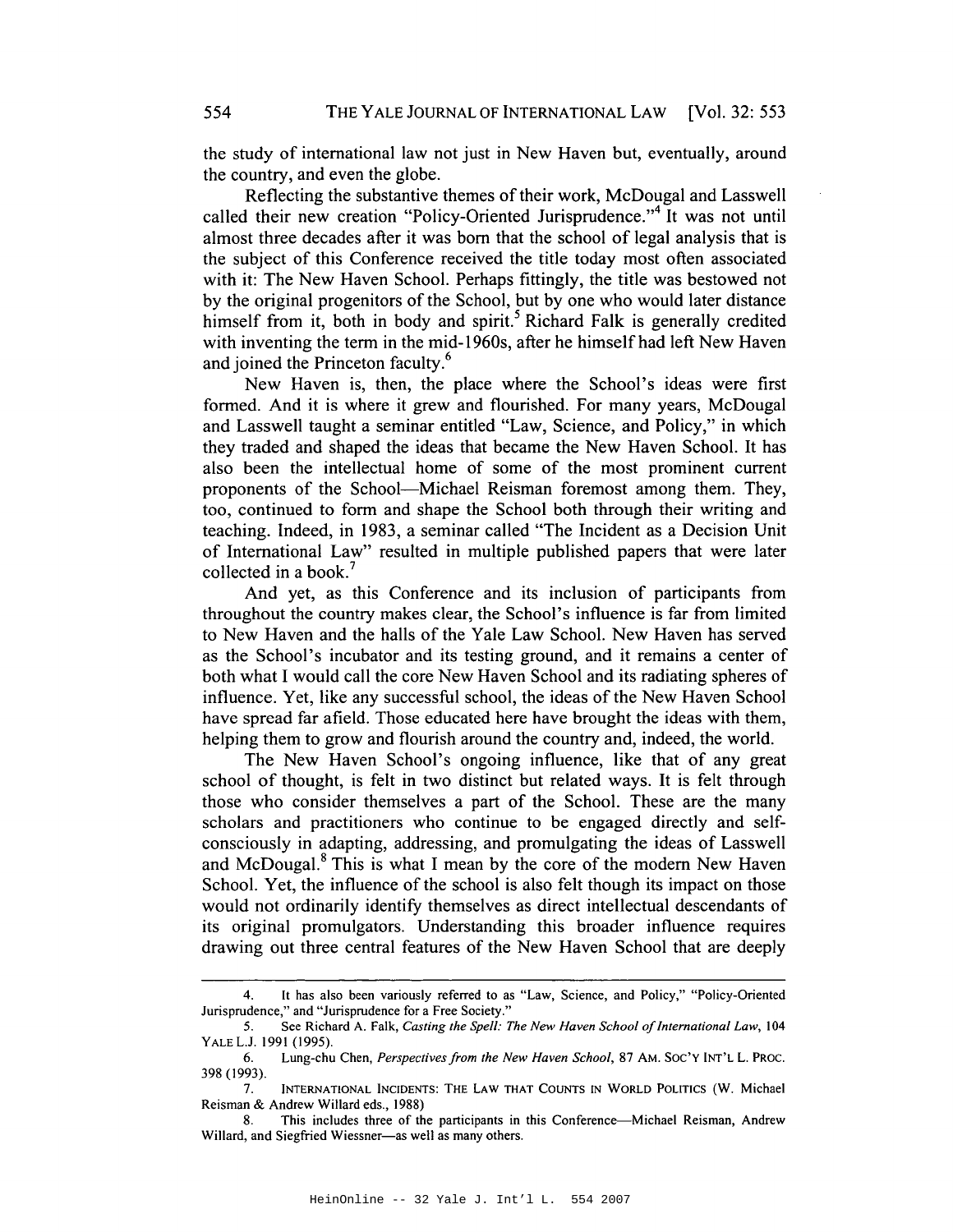the study of international law not just in New Haven but, eventually, around the country, and even the globe.

Reflecting the substantive themes of their work, McDougal and Lasswell called their new creation "Policy-Oriented Jurisprudence."<sup>4</sup> It was not until almost three decades after it was born that the school of legal analysis that is the subject of this Conference received the title today most often associated with it: The New Haven School. Perhaps fittingly, the title was bestowed not by the original progenitors of the School, but by one who would later distance himself from it, both in body and spirit.<sup>5</sup> Richard Falk is generally credited with inventing the term in the mid-1960s, after he himself had left New Haven and joined the Princeton faculty.<sup>6</sup>

New Haven is, then, the place where the School's ideas were first formed. And it is where it grew and flourished. For many years, McDougal and Lasswell taught a seminar entitled "Law, Science, and Policy," in which they traded and shaped the ideas that became the New Haven School. It has also been the intellectual home of some of the most prominent current proponents of the School-Michael Reisman foremost among them. They, too, continued to form and shape the School both through their writing and teaching. Indeed, in 1983, a seminar called "The Incident as a Decision Unit of International Law" resulted in multiple published papers that were later collected in a book.?

And yet, as this Conference and its inclusion of participants from throughout the country makes clear, the School's influence is far from limited to New Haven and the halls of the Yale Law School. New Haven has served as the School's incubator and its testing ground, and it remains a center of both what I would call the core New Haven School and its radiating spheres of influence. Yet, like any successful school, the ideas of the New Haven School have spread far afield. Those educated here have brought the ideas with them, helping them to grow and flourish around the country and, indeed, the world.

The New Haven School's ongoing influence, like that of any great school of thought, is felt in two distinct but related ways. It is felt through those who consider themselves a part of the School. These are the many scholars and practitioners who continue to be engaged directly and selfconsciously in adapting, addressing, and promulgating the ideas of Lasswell and McDougal.<sup>8</sup> This is what I mean by the core of the modern New Haven School. Yet, the influence of the school is also felt though its impact on those would not ordinarily identify themselves as direct intellectual descendants of its original promulgators. Understanding this broader influence requires drawing out three central features of the New Haven School that are deeply

<sup>4.</sup> It has also been variously referred to as "Law, Science, and Policy," "Policy-Oriented Jurisprudence," and "Jurisprudence for a Free Society."

<sup>5.</sup> See Richard A. Falk, *Casting the Spell: The New Haven School ofInternational Law,* 104 YALEL.J. 1991 (1995).

<sup>6.</sup> Lung-chu Chen, *Perspectives from the New Haven School,* 87 AM. SOC'y INT'L L. PROC. 398 (1993).

<sup>7.</sup> INTERNATIONAL INCIDENTS: THE LAW THAT COUNTS IN WORLD POLITICS (W. Michael Reisman & Andrew Willard eds., 1988)

<sup>8.</sup> This includes three of the participants in this Conference-Michael Reisman, Andrew Willard, and Siegfried Wiessner-as well as many others.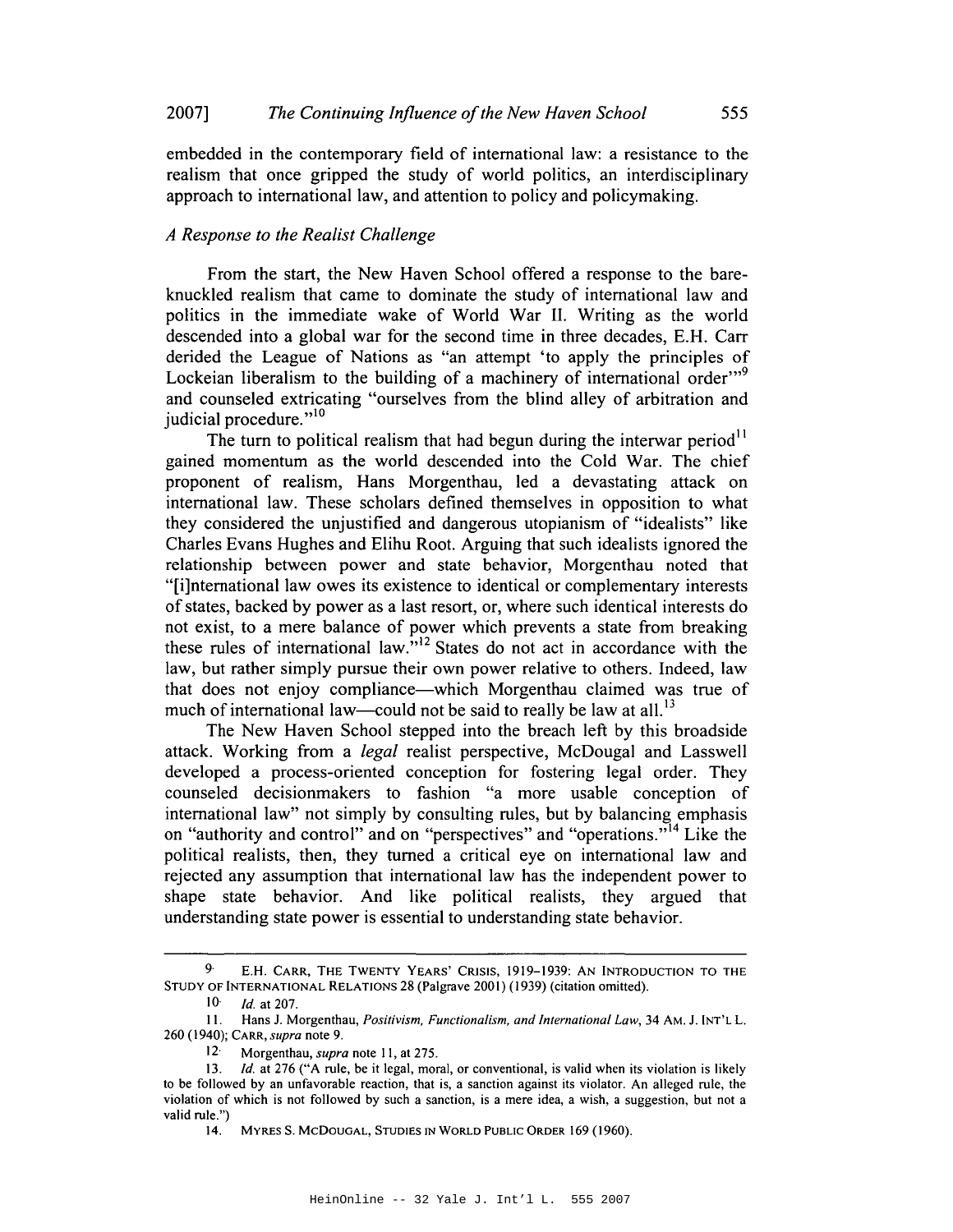embedded in the contemporary field of international law: a resistance to the realism that once gripped the study of world politics, an interdisciplinary approach to international law, and attention to policy and policymaking.

#### *A Response to the Realist Challenge*

From the start, the New Haven School offered a response to the bareknuckled realism that came to dominate the study of international law and politics in the immediate wake of World War II. Writing as the world descended into a global war for the second time in three decades, E.H. Carr derided the League of Nations as "an attempt 'to apply the principles of Lockeian liberalism to the building of a machinery of international order $"$ and counseled extricating "ourselves from the blind alley of arbitration and judicial procedure."<sup>10</sup>

The turn to political realism that had begun during the interwar period<sup>11</sup> gained momentum as the world descended into the Cold War. The chief proponent of realism, Hans Morgenthau, led a devastating attack on international law. These scholars defined themselves in opposition to what they considered the unjustified and dangerous utopianism of "idealists" like Charles Evans Hughes and Elihu Root. Arguing that such idealists ignored the relationship between power and state behavior, Morgenthau noted that "[i]nternational law owes its existence to identical or complementary interests of states, backed by power as a last resort, or, where such identical interests do not exist, to a mere balance of power which prevents a state from breaking these rules of international law."<sup>12</sup> States do not act in accordance with the law, but rather simply pursue their own power relative to others. Indeed, law that does not enjoy compliance—which Morgenthau claimed was true of much of international law—could not be said to really be law at all.<sup>13</sup>

The New Haven School stepped into the breach left by this broadside attack. Working from a *legal* realist perspective, McDougal and Lasswell developed a process-oriented conception for fostering legal order. They counseled decisionmakers to fashion "a more usable conception of international law" not simply by consulting rules, but by balancing emphasis on "authority and control" and on "perspectives" and "operations."<sup>14</sup> Like the political realists, then, they turned a critical eye on international law and rejected any assumption that international law has the independent power to shape state behavior. And like political realists, they argued that understanding state power is essential to understanding state behavior.

<sup>9·</sup> E.H. CARR, THE TWENTY YEARS' CRISIS, 1919-1939: AN INTRODUCTION TO THE STUDY OF INTERNATIONAL RELATIONS 28 (Palgrave 2001) (1939) (citation omitted).

*<sup>10·</sup> Id.* at 207.

II. Hans J. Morgenthau, *Positivism, Functionalism, and International Law,* 34 AM, J. INT'L L. 260 (1940); CARR, *supra* note 9.

<sup>12·</sup> Morgenthau, *supra* note II, at 275.

*<sup>13.</sup> Id.* at 276 ("A rule, be it legal, moral, or conventional, is valid when its violation is likely to be followed by an unfavorable reaction, that is, a sanction against its violator. An alleged rule, the violation of which is not followed by such a sanction, is a mere idea, a wish, a suggestion, but not a valid rule.")

<sup>14.</sup> MYRES S. McDOUGAL, STUDIES IN WORLD PUBLIC ORDER 169 (1960).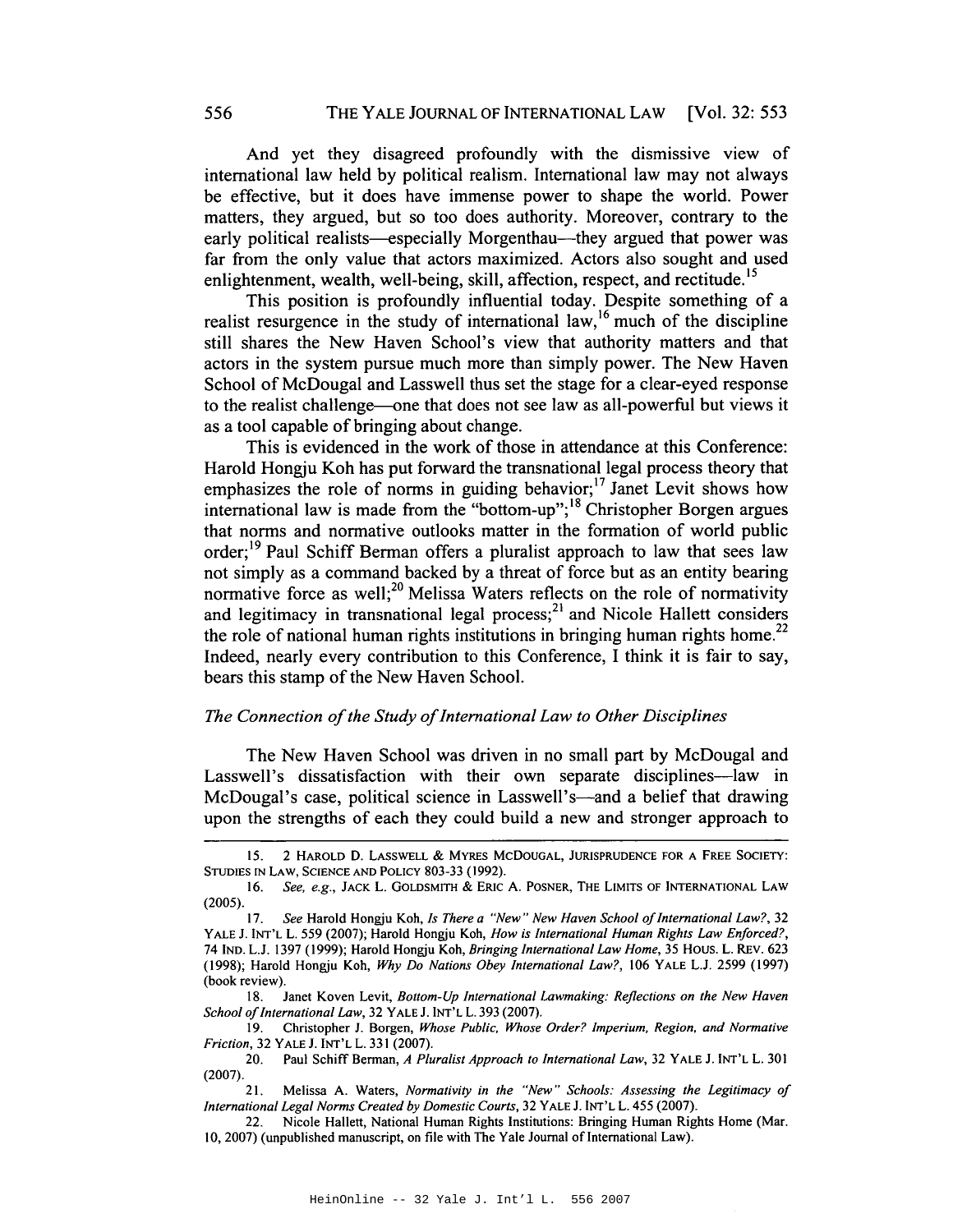And yet they disagreed profoundly with the dismissive view of international law held by political realism. International law may not always be effective, but it does have immense power to shape the world. Power matters, they argued, but so too does authority. Moreover, contrary to the early political realists—especially Morgenthau—they argued that power was far from the only value that actors maximized. Actors also sought and used enlightenment, wealth, well-being, skill, affection, respect, and rectitude.<sup>15</sup>

This position is profoundly influential today. Despite something of a realist resurgence in the study of international law,<sup>16</sup> much of the discipline still shares the New Haven School's view that authority matters and that actors in the system pursue much more than simply power. The New Haven School of McDougal and Lasswell thus set the stage for a clear-eyed response to the realist challenge--one that does not see law as all-powerful but views it as a tool capable of bringing about change.

This is evidenced in the work of those in attendance at this Conference: Harold Hongju Koh has put forward the transnational legal process theory that emphasizes the role of norms in guiding behavior;<sup>17</sup> Janet Levit shows how international law is made from the "bottom-up";<sup>18</sup> Christopher Borgen argues that norms and normative outlooks matter in the formation of world public order;<sup>19</sup> Paul Schiff Berman offers a pluralist approach to law that sees law not simply as a command backed by a threat of force but as an entity bearing normative force as well;<sup>20</sup> Melissa Waters reflects on the role of normativity and legitimacy in transnational legal process;<sup>21</sup> and Nicole Hallett considers the role of national human rights institutions in bringing human rights home.<sup>22</sup> Indeed, nearly every contribution to this Conference, I think it is fair to say, bears this stamp of the New Haven School.

#### *The Connection of the Study of International Law to Other Disciplines*

The New Haven School was driven in no small part by McDougal and Lasswell's dissatisfaction with their own separate disciplines—law in McDougal's case, political science in Lasswell's—and a belief that drawing upon the strengths of each they could build a new and stronger approach to

IS. 2 HAROLD D. LASSWEll & MYRES McDOUGAL, JURISPRUDENCE FOR A FREE SOCIETY: STUDIES IN LAW, SCIENCE AND POLICY 803-33 (1992).

*<sup>16.</sup> See, e.g.,* JACK L. GOLDSMITH & ERIC A. POSNER, THE LIMITS OF INTERNATIONAL LAW (2005).

*<sup>17.</sup> See* Harold Hongju Koh, *Is There a "New" New Haven School ofInternational Law?, 32* YALE J. INT'l L. 559 (2007); Harold Hongju Koh, *How* is *International Human Rights Law Enforced?,* 74 IND. LJ. 1397 (1999); Harold Hongju Koh, *Bringing International Law Home,* 35 Hous. L. REv. 623 (1998); Harold Hongju Koh, *Why Do Nations Obey International Law?,* 106 YALE LJ. 2599 (1997) (book review).

<sup>18.</sup> Janet Koven Levit, *Bottom-Up International Lawmaking: Reflections on the New Haven School of International Law,* 32 YALE J. INT'L L. 393 (2007).

<sup>19.</sup> Christopher J. Borgen, *Whose Public, Whose Order? Imperium. Region. and Normative Friction,* 32 YALE J. INT'l L. 331 (2007).

<sup>20.</sup> Paul Schiff Bennan, *A Pluralist Approach to International Law,* 32 YALE J. INT'l L. 30 I (2007).

<sup>21.</sup> Melissa A. Waters, *Normativity in the "New" Schools: Assessing the Legitimacy of International Legal Norms Created by Domestic Courts,* 32 YALE 1. INT'l L. 455 (2007).

<sup>22.</sup> Nicole Hallett, National Human Rights Institutions: Bringing Human Rights Home (Mar. 10, 2007) (unpublished manuscript, on file with The Yale Journal of International Law).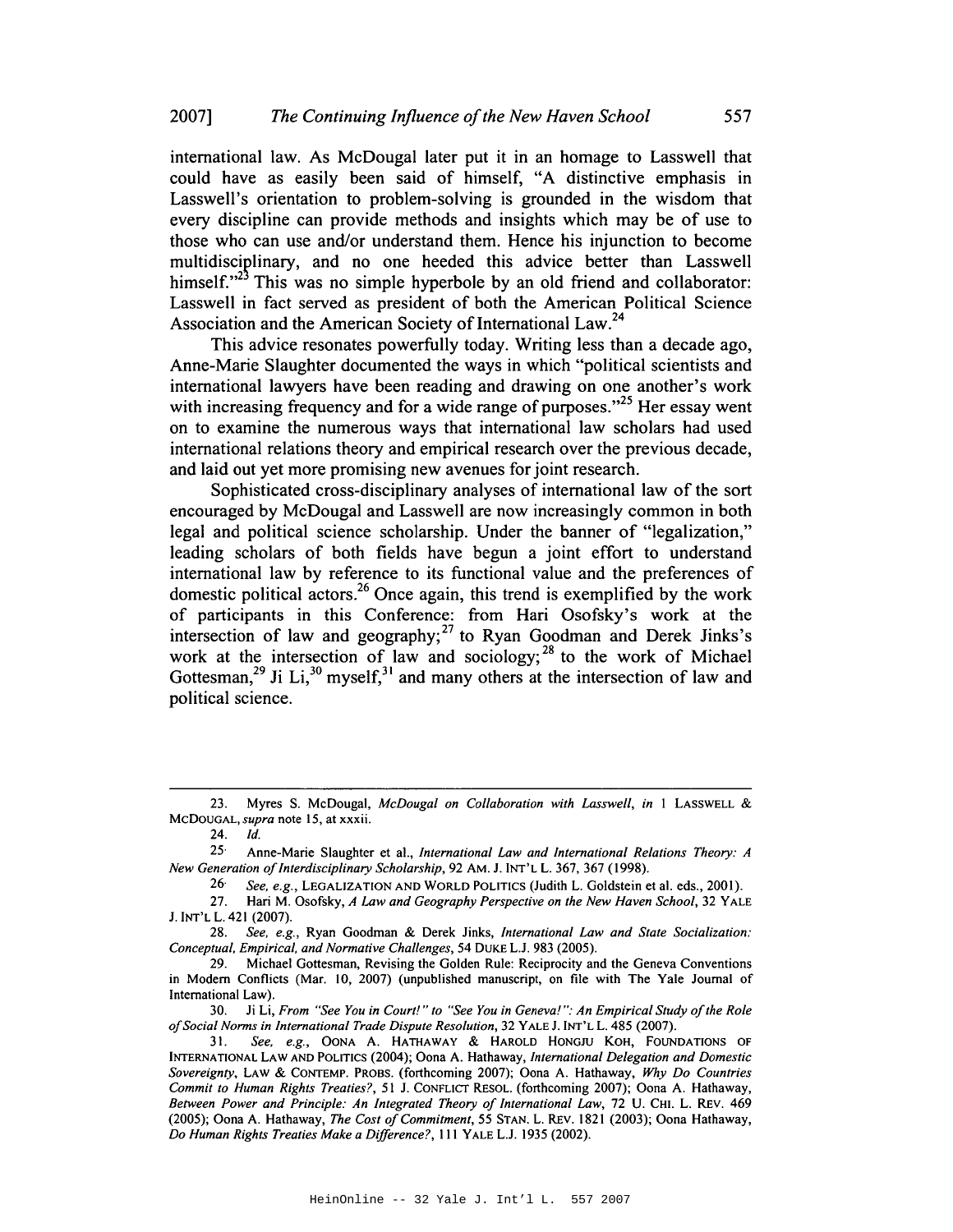international law. As McDougal later put it in an homage to Lasswell that could have as easily been said of himself, "A distinctive emphasis in Lasswell's orientation to problem-solving is grounded in the wisdom that every discipline can provide methods and insights which may be of use to those who can use and/or understand them. Hence his injunction to become multidisciplinary, and no one heeded this advice better than Lasswell himself. $n^{23}$  This was no simple hyperbole by an old friend and collaborator: Lasswell in fact served as president of both the American Political Science Association and the American Society of International Law.<sup>24</sup>

This advice resonates powerfully today. Writing less than a decade ago, Anne-Marie Slaughter documented the ways in which "political scientists and international lawyers have been reading and drawing on one another's work with increasing frequency and for a wide range of purposes. $125$  Her essay went on to examine the numerous ways that international law scholars had used international relations theory and empirical research over the previous decade, and laid out yet more promising new avenues for joint research.

Sophisticated cross-disciplinary analyses of international law of the sort encouraged by McDougal and Lasswell are now increasingly common in both legal and political science scholarship. Under the banner of "legalization," leading scholars of both fields have begun a joint effort to understand international law by reference to its functional value and the preferences of domestic political actors.<sup>26</sup> Once again, this trend is exemplified by the work of participants in this Conference: from Hari Osofsky's work at the intersection of law and geography;<sup>27</sup> to Ryan Goodman and Derek Jinks's work at the intersection of law and sociology;<sup>28</sup> to the work of Michael Gottesman,<sup>29</sup> Ji Li,<sup>30</sup> myself,<sup>31</sup> and many others at the intersection of law and political science.

*24. Id.*

25· Anne-Marie Slaughter et aI., *International Law and International Relations Theory: A New Generation of Interdisciplinary Scholarship,* 92 AM. J. INT'L L. 367, 367 (1998).

*26· See, e.g.,* LEGALIZATION AND WORLD POLITICS (Judith L. Goldstein et al. eds., 2001).

27. Hari M. Osofsky, *A Law and Geography Perspective on the New Haven School,* 32 YALE J.INT'L L. 421 (2007).

*28. See, e.g.,* Ryan Goodman & Derek Jinks, *International Law and State Socialization: Conceptual, Empirical, and Normative Challenges,* 54 DUKE LJ. 983 (2005).

29. Michael Gottesman, Revising the Golden Rule: Reciprocity and the Geneva Conventions in Modem Conflicts (Mar. 10, 2007) (unpublished manuscript, on file with The Yale Journal of International Law).

30. Ji Li, *From "See You in Court!" to "See You in Geneva!* ": *An Empirical Study ofthe Role ofSocial Norms in International Trade Dispute Resolution,* 32 YALE J.INT'L L. 485 (2007).

*31. See. e.g.,* OONA A. HATHAWAY & HAROLD HONGJU KOH, FOUNDATIONS OF INTERNATIONAL LAW AND POLITICS (2004); Oona A. Hathaway, *International Delegation and Domestic Sovereignty,* LAW & CONTEMP. PROBS. (forthcoming 2007); Oona A. Hathaway, *Why Do Countries Commit to Human Rights Treaties?,* 51 J. CONFLICT RESOL. (forthcoming 2007); Oona A. Hathaway, *Between Power and Principle: An Integrated Theory of International Law,* 72 U. CHI. L. REV. 469 (2005); Oona A. Hathaway, *The Cost ofCommitment,* 55 STAN. L. REv. 1821 (2003); Oona Hathaway, *Do Human Rights Treaties Make a Difference?,* III YALE LJ. 1935 (2002).

<sup>23.</sup> Myres S. McDougal, *McDougal on Collaboration with Lasswell, in* I LASSWELL & McDOUGAL, *supra* note IS, at xxxii.